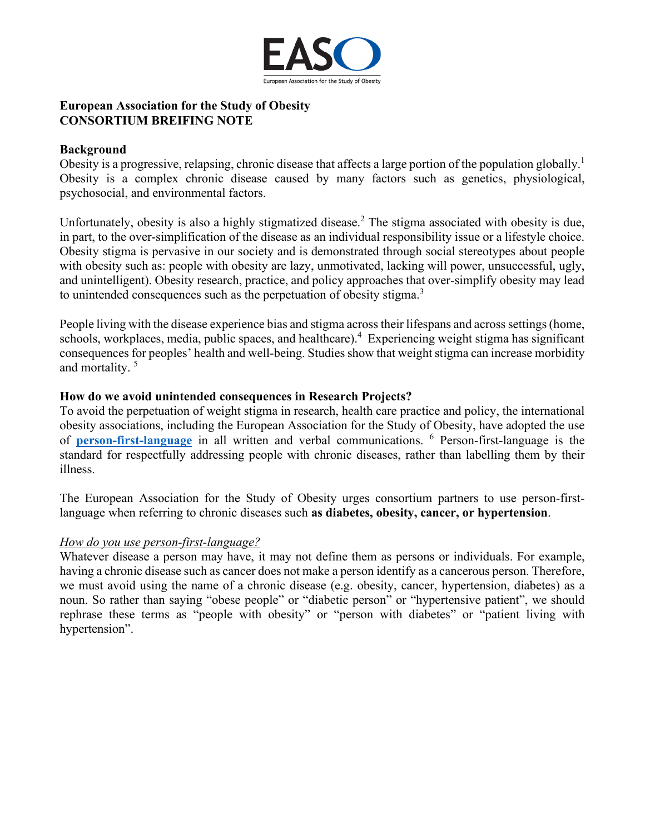

## **European Association for the Study of Obesity CONSORTIUM BREIFING NOTE**

## **Background**

Obesity is a progressive, relapsing, chronic disease that affects a large portion of the population globally.<sup>1</sup> Obesity is a complex chronic disease caused by many factors such as genetics, physiological, psychosocial, and environmental factors.

Unfortunately, obesity is also a highly stigmatized disease.<sup>2</sup> The stigma associated with obesity is due, in part, to the over-simplification of the disease as an individual responsibility issue or a lifestyle choice. Obesity stigma is pervasive in our society and is demonstrated through social stereotypes about people with obesity such as: people with obesity are lazy, unmotivated, lacking will power, unsuccessful, ugly, and unintelligent). Obesity research, practice, and policy approaches that over-simplify obesity may lead to unintended consequences such as the perpetuation of obesity stigma.<sup>3</sup>

People living with the disease experience bias and stigma across their lifespans and across settings (home, schools, workplaces, media, public spaces, and healthcare).<sup>4</sup> Experiencing weight stigma has significant consequences for peoples' health and well-being. Studies show that weight stigma can increase morbidity and mortality. <sup>5</sup>

## **How do we avoid unintended consequences in Research Projects?**

To avoid the perpetuation of weight stigma in research, health care practice and policy, the international obesity associations, including the European Association for the Study of Obesity, have adopted the use of **[person-first-language](https://easo.org/people-first-language/)** in all written and verbal communications. <sup>6</sup> Person-first-language is the standard for respectfully addressing people with chronic diseases, rather than labelling them by their illness.

The European Association for the Study of Obesity urges consortium partners to use person-firstlanguage when referring to chronic diseases such **as diabetes, obesity, cancer, or hypertension**.

## *How do you use person-first-language?*

Whatever disease a person may have, it may not define them as persons or individuals. For example, having a chronic disease such as cancer does not make a person identify as a cancerous person. Therefore, we must avoid using the name of a chronic disease (e.g. obesity, cancer, hypertension, diabetes) as a noun. So rather than saying "obese people" or "diabetic person" or "hypertensive patient", we should rephrase these terms as "people with obesity" or "person with diabetes" or "patient living with hypertension".